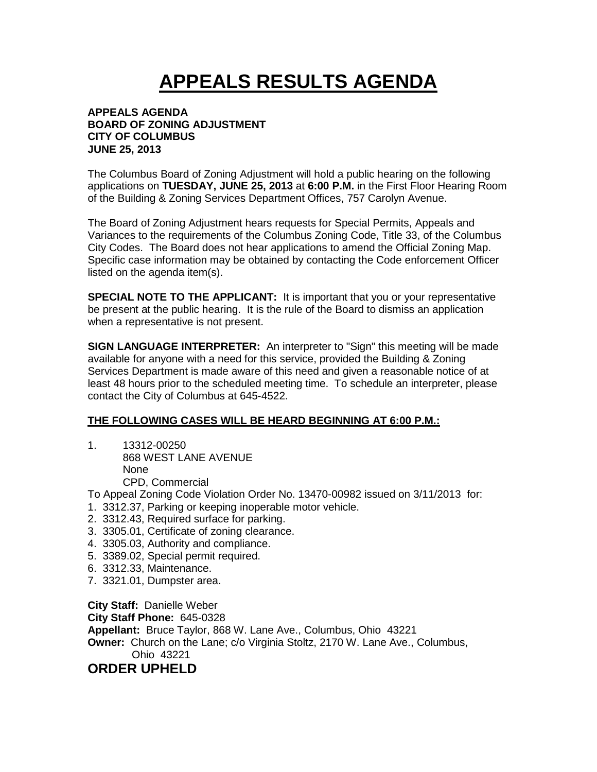## **APPEALS RESULTS AGENDA**

## **APPEALS AGENDA BOARD OF ZONING ADJUSTMENT CITY OF COLUMBUS JUNE 25, 2013**

The Columbus Board of Zoning Adjustment will hold a public hearing on the following applications on **TUESDAY, JUNE 25, 2013** at **6:00 P.M.** in the First Floor Hearing Room of the Building & Zoning Services Department Offices, 757 Carolyn Avenue.

The Board of Zoning Adjustment hears requests for Special Permits, Appeals and Variances to the requirements of the Columbus Zoning Code, Title 33, of the Columbus City Codes. The Board does not hear applications to amend the Official Zoning Map. Specific case information may be obtained by contacting the Code enforcement Officer listed on the agenda item(s).

**SPECIAL NOTE TO THE APPLICANT:** It is important that you or your representative be present at the public hearing. It is the rule of the Board to dismiss an application when a representative is not present.

**SIGN LANGUAGE INTERPRETER:** An interpreter to "Sign" this meeting will be made available for anyone with a need for this service, provided the Building & Zoning Services Department is made aware of this need and given a reasonable notice of at least 48 hours prior to the scheduled meeting time. To schedule an interpreter, please contact the City of Columbus at 645-4522.

## **THE FOLLOWING CASES WILL BE HEARD BEGINNING AT 6:00 P.M.:**

1. 13312-00250 868 WEST LANE AVENUE None CPD, Commercial

To Appeal Zoning Code Violation Order No. 13470-00982 issued on 3/11/2013 for:

- 1. 3312.37, Parking or keeping inoperable motor vehicle.
- 2. 3312.43, Required surface for parking.
- 3. 3305.01, Certificate of zoning clearance.
- 4. 3305.03, Authority and compliance.
- 5. 3389.02, Special permit required.
- 6. 3312.33, Maintenance.
- 7. 3321.01, Dumpster area.

**City Staff:** Danielle Weber **City Staff Phone:** 645-0328 **Appellant:** Bruce Taylor, 868 W. Lane Ave., Columbus, Ohio 43221 **Owner:** Church on the Lane; c/o Virginia Stoltz, 2170 W. Lane Ave., Columbus, Ohio 43221 **ORDER UPHELD**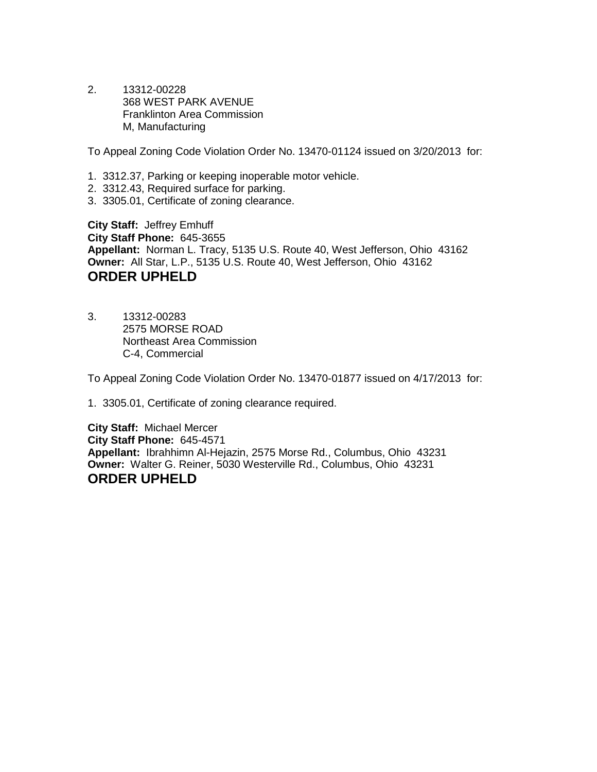2. 13312-00228 368 WEST PARK AVENUE Franklinton Area Commission M, Manufacturing

To Appeal Zoning Code Violation Order No. 13470-01124 issued on 3/20/2013 for:

- 1. 3312.37, Parking or keeping inoperable motor vehicle.
- 2. 3312.43, Required surface for parking.
- 3. 3305.01, Certificate of zoning clearance.

**City Staff:** Jeffrey Emhuff **City Staff Phone:** 645-3655 **Appellant:** Norman L. Tracy, 5135 U.S. Route 40, West Jefferson, Ohio 43162 **Owner:** All Star, L.P., 5135 U.S. Route 40, West Jefferson, Ohio 43162 **ORDER UPHELD**

3. 13312-00283 2575 MORSE ROAD Northeast Area Commission C-4, Commercial

To Appeal Zoning Code Violation Order No. 13470-01877 issued on 4/17/2013 for:

1. 3305.01, Certificate of zoning clearance required.

**City Staff:** Michael Mercer **City Staff Phone:** 645-4571 **Appellant:** Ibrahhimn Al-Hejazin, 2575 Morse Rd., Columbus, Ohio 43231 **Owner:** Walter G. Reiner, 5030 Westerville Rd., Columbus, Ohio 43231 **ORDER UPHELD**